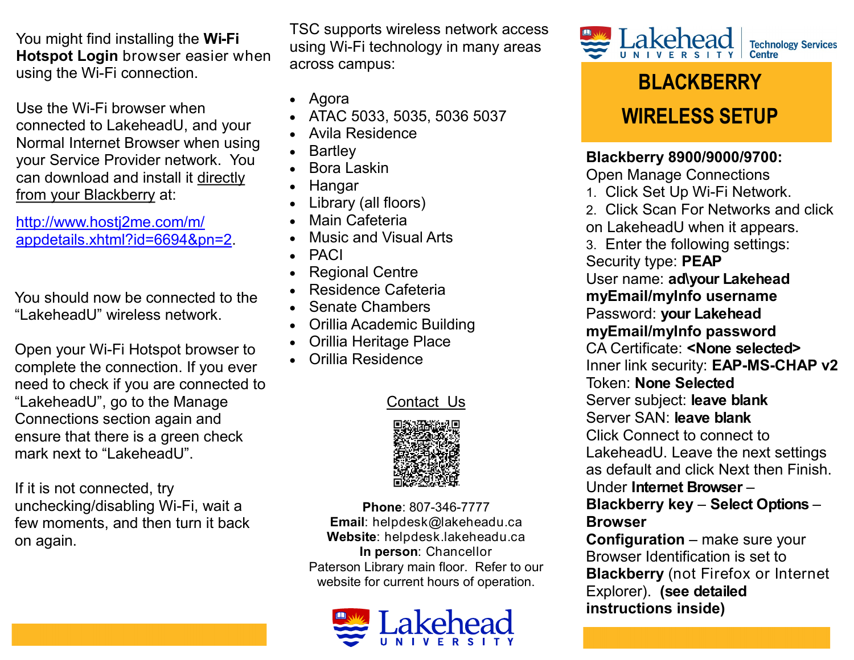You might find installing the **Wi-Fi Hotspot Login** browser easier when using the Wi-Fi connection.

Use the Wi-Fi browser when connected to LakeheadU, and your Normal Internet Browser when using your Service Provider network. You can download and install it directly from your Blackberry at:

[http://www.hostj2me.com/m/](http://www.hostj2me.com/m/appdetails.xhtml?id=6694&pn=2) [appdetails.xhtml?id=6694&pn=2.](http://www.hostj2me.com/m/appdetails.xhtml?id=6694&pn=2)

You should now be connected to the "LakeheadU" wireless network.

Open your Wi-Fi Hotspot browser to complete the connection. If you ever need to check if you are connected to "LakeheadU", go to the Manage Connections section again and ensure that there is a green check mark next to "LakeheadU".

If it is not connected, try unchecking/disabling Wi-Fi, wait a few moments, and then turn it back on again.

TSC supports wireless network access using Wi-Fi technology in many areas across campus:

- Agora
- ATAC 5033, 5035, 5036 5037
- Avila Residence
- **Bartley**
- Bora Laskin
- Hangar
- Library (all floors)
- Main Cafeteria
- Music and Visual Arts
- PACI
- Regional Centre
- Residence Cafeteria
- Senate Chambers
- Orillia Academic Building
- Orillia Heritage Place
- Orillia Residence

## Contact Us



**Phone**: 807-346-7777 **Email**: helpdesk@lakeheadu.ca **Website**: helpdesk.lakeheadu.ca **In person**: Chancellor Paterson Library main floor. Refer to our website for current hours of operation.





## **BLACKBERRY WIRELESS SETUP**

**Blackberry 8900/9000/9700:** 

Open Manage Connections

- 1. Click Set Up Wi-Fi Network.
- 2. Click Scan For Networks and click
- on LakeheadU when it appears.
- 3. Enter the following settings:
- Security type: **PEAP**
- User name: **ad\your Lakehead**
- **myEmail/myInfo username**
- Password: **your Lakehead**
- **myEmail/myInfo password**
- CA Certificate: **<None selected>**
- Inner link security: **EAP-MS-CHAP v2**
- Token: **None Selected**
- Server subject: **leave blank**
- Server SAN: **leave blank**
- Click Connect to connect to
- LakeheadU. Leave the next settings as default and click Next then Finish.
- Under **Internet Browser** –

## **Blackberry key** – **Select Options** – **Browser**

**Configuration** – make sure your Browser Identification is set to **Blackberry** (not Firefox or Internet Explorer). **(see detailed instructions inside)**